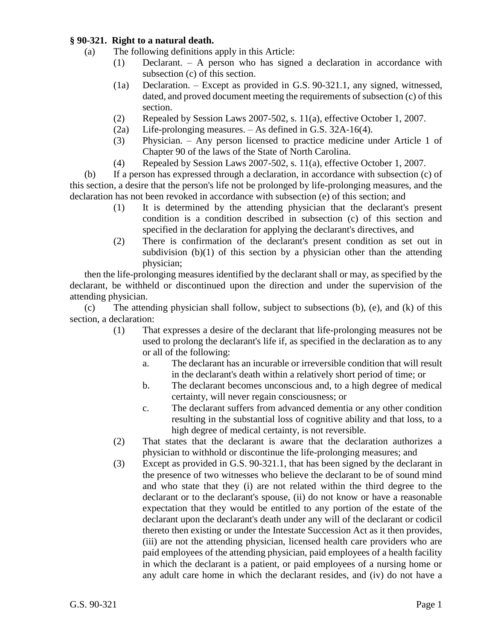### **§ 90-321. Right to a natural death.**

- (a) The following definitions apply in this Article:
	- (1) Declarant. A person who has signed a declaration in accordance with subsection (c) of this section.
	- (1a) Declaration. Except as provided in G.S. 90-321.1, any signed, witnessed, dated, and proved document meeting the requirements of subsection (c) of this section.
	- (2) Repealed by Session Laws 2007-502, s. 11(a), effective October 1, 2007.
	- (2a) Life-prolonging measures. As defined in G.S. 32A-16(4).
	- (3) Physician. Any person licensed to practice medicine under Article 1 of Chapter 90 of the laws of the State of North Carolina.
	- (4) Repealed by Session Laws 2007-502, s. 11(a), effective October 1, 2007.

(b) If a person has expressed through a declaration, in accordance with subsection (c) of this section, a desire that the person's life not be prolonged by life-prolonging measures, and the declaration has not been revoked in accordance with subsection (e) of this section; and

- (1) It is determined by the attending physician that the declarant's present condition is a condition described in subsection (c) of this section and specified in the declaration for applying the declarant's directives, and
- (2) There is confirmation of the declarant's present condition as set out in subdivision  $(b)(1)$  of this section by a physician other than the attending physician;

then the life-prolonging measures identified by the declarant shall or may, as specified by the declarant, be withheld or discontinued upon the direction and under the supervision of the attending physician.

(c) The attending physician shall follow, subject to subsections (b), (e), and (k) of this section, a declaration:

- (1) That expresses a desire of the declarant that life-prolonging measures not be used to prolong the declarant's life if, as specified in the declaration as to any or all of the following:
	- a. The declarant has an incurable or irreversible condition that will result in the declarant's death within a relatively short period of time; or
	- b. The declarant becomes unconscious and, to a high degree of medical certainty, will never regain consciousness; or
	- c. The declarant suffers from advanced dementia or any other condition resulting in the substantial loss of cognitive ability and that loss, to a high degree of medical certainty, is not reversible.
- (2) That states that the declarant is aware that the declaration authorizes a physician to withhold or discontinue the life-prolonging measures; and
- (3) Except as provided in G.S. 90-321.1, that has been signed by the declarant in the presence of two witnesses who believe the declarant to be of sound mind and who state that they (i) are not related within the third degree to the declarant or to the declarant's spouse, (ii) do not know or have a reasonable expectation that they would be entitled to any portion of the estate of the declarant upon the declarant's death under any will of the declarant or codicil thereto then existing or under the Intestate Succession Act as it then provides, (iii) are not the attending physician, licensed health care providers who are paid employees of the attending physician, paid employees of a health facility in which the declarant is a patient, or paid employees of a nursing home or any adult care home in which the declarant resides, and (iv) do not have a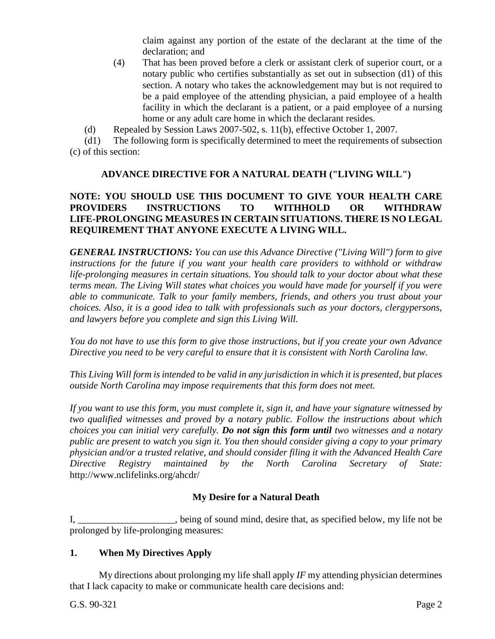claim against any portion of the estate of the declarant at the time of the declaration; and

(4) That has been proved before a clerk or assistant clerk of superior court, or a notary public who certifies substantially as set out in subsection (d1) of this section. A notary who takes the acknowledgement may but is not required to be a paid employee of the attending physician, a paid employee of a health facility in which the declarant is a patient, or a paid employee of a nursing home or any adult care home in which the declarant resides.

(d) Repealed by Session Laws 2007-502, s. 11(b), effective October 1, 2007.

(d1) The following form is specifically determined to meet the requirements of subsection (c) of this section:

# **ADVANCE DIRECTIVE FOR A NATURAL DEATH ("LIVING WILL")**

# **NOTE: YOU SHOULD USE THIS DOCUMENT TO GIVE YOUR HEALTH CARE PROVIDERS INSTRUCTIONS TO WITHHOLD OR WITHDRAW LIFE-PROLONGING MEASURES IN CERTAIN SITUATIONS. THERE IS NO LEGAL REQUIREMENT THAT ANYONE EXECUTE A LIVING WILL.**

*GENERAL INSTRUCTIONS: You can use this Advance Directive ("Living Will") form to give instructions for the future if you want your health care providers to withhold or withdraw life-prolonging measures in certain situations. You should talk to your doctor about what these terms mean. The Living Will states what choices you would have made for yourself if you were able to communicate. Talk to your family members, friends, and others you trust about your choices. Also, it is a good idea to talk with professionals such as your doctors, clergypersons, and lawyers before you complete and sign this Living Will.*

*You do not have to use this form to give those instructions, but if you create your own Advance Directive you need to be very careful to ensure that it is consistent with North Carolina law.*

*This Living Will form is intended to be valid in any jurisdiction in which it is presented, but places outside North Carolina may impose requirements that this form does not meet.*

*If you want to use this form, you must complete it, sign it, and have your signature witnessed by two qualified witnesses and proved by a notary public. Follow the instructions about which choices you can initial very carefully. Do not sign this form until two witnesses and a notary public are present to watch you sign it. You then should consider giving a copy to your primary physician and/or a trusted relative, and should consider filing it with the Advanced Health Care Directive Registry maintained by the North Carolina Secretary of State:*  http://www.nclifelinks.org/ahcdr/

# **My Desire for a Natural Death**

I, \_\_\_\_\_\_\_\_\_\_\_\_\_\_, being of sound mind, desire that, as specified below, my life not be prolonged by life-prolonging measures:

# **1. When My Directives Apply**

My directions about prolonging my life shall apply *IF* my attending physician determines that I lack capacity to make or communicate health care decisions and: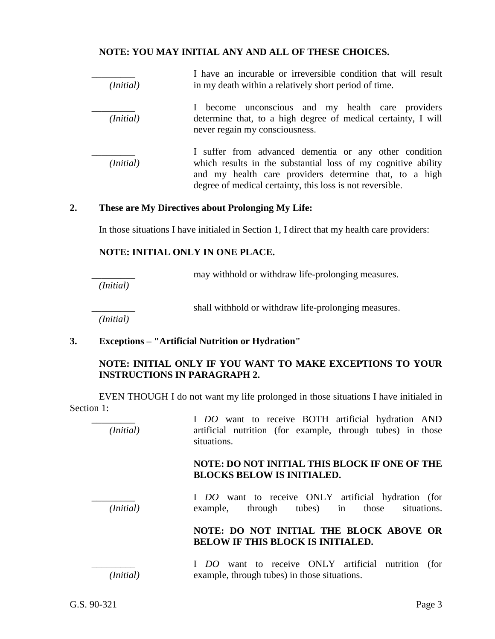## **NOTE: YOU MAY INITIAL ANY AND ALL OF THESE CHOICES.**

| ( <i>Initial</i> ) | I have an incurable or irreversible condition that will result<br>in my death within a relatively short period of time.                                                                                                                        |  |  |
|--------------------|------------------------------------------------------------------------------------------------------------------------------------------------------------------------------------------------------------------------------------------------|--|--|
| ( <i>Initial</i> ) | I become unconscious and my health care providers<br>determine that, to a high degree of medical certainty, I will<br>never regain my consciousness.                                                                                           |  |  |
| (Initial)          | I suffer from advanced dementia or any other condition<br>which results in the substantial loss of my cognitive ability<br>and my health care providers determine that, to a high<br>degree of medical certainty, this loss is not reversible. |  |  |

#### **2. These are My Directives about Prolonging My Life:**

In those situations I have initialed in Section 1, I direct that my health care providers:

#### **NOTE: INITIAL ONLY IN ONE PLACE.**

may withhold or withdraw life-prolonging measures.

*(Initial)*

shall withhold or withdraw life-prolonging measures.

*(Initial)*

### **3. Exceptions – "Artificial Nutrition or Hydration"**

## **NOTE: INITIAL ONLY IF YOU WANT TO MAKE EXCEPTIONS TO YOUR INSTRUCTIONS IN PARAGRAPH 2.**

EVEN THOUGH I do not want my life prolonged in those situations I have initialed in Section 1:

I *DO* want to receive BOTH artificial hydration AND *(Initial)* artificial nutrition (for example, through tubes) in those situations.

### **NOTE: DO NOT INITIAL THIS BLOCK IF ONE OF THE BLOCKS BELOW IS INITIALED.**

I *DO* want to receive ONLY artificial hydration (for *(Initial)* example, through tubes) in those situations.

## **NOTE: DO NOT INITIAL THE BLOCK ABOVE OR BELOW IF THIS BLOCK IS INITIALED.**

I *DO* want to receive ONLY artificial nutrition (for *(Initial)* example, through tubes) in those situations.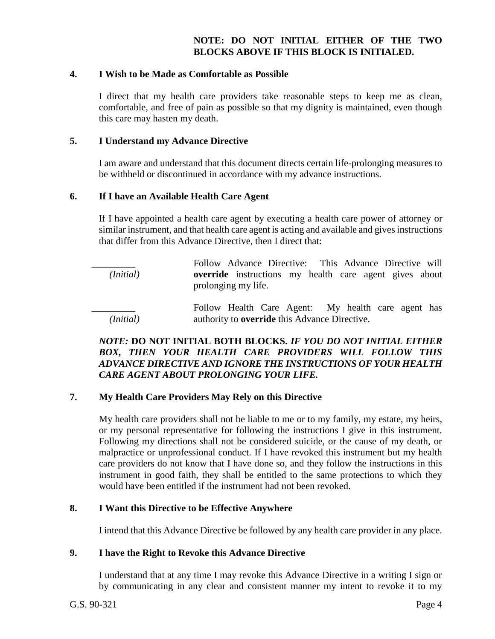# **NOTE: DO NOT INITIAL EITHER OF THE TWO BLOCKS ABOVE IF THIS BLOCK IS INITIALED.**

#### **4. I Wish to be Made as Comfortable as Possible**

I direct that my health care providers take reasonable steps to keep me as clean, comfortable, and free of pain as possible so that my dignity is maintained, even though this care may hasten my death.

#### **5. I Understand my Advance Directive**

I am aware and understand that this document directs certain life-prolonging measures to be withheld or discontinued in accordance with my advance instructions.

#### **6. If I have an Available Health Care Agent**

If I have appointed a health care agent by executing a health care power of attorney or similar instrument, and that health care agent is acting and available and gives instructions that differ from this Advance Directive, then I direct that:

Follow Advance Directive: This Advance Directive will *(Initial)* **override** instructions my health care agent gives about prolonging my life. Follow Health Care Agent: My health care agent has *(Initial)* authority to **override** this Advance Directive.

## *NOTE:* **DO NOT INITIAL BOTH BLOCKS.** *IF YOU DO NOT INITIAL EITHER BOX, THEN YOUR HEALTH CARE PROVIDERS WILL FOLLOW THIS ADVANCE DIRECTIVE AND IGNORE THE INSTRUCTIONS OF YOUR HEALTH CARE AGENT ABOUT PROLONGING YOUR LIFE.*

### **7. My Health Care Providers May Rely on this Directive**

My health care providers shall not be liable to me or to my family, my estate, my heirs, or my personal representative for following the instructions I give in this instrument. Following my directions shall not be considered suicide, or the cause of my death, or malpractice or unprofessional conduct. If I have revoked this instrument but my health care providers do not know that I have done so, and they follow the instructions in this instrument in good faith, they shall be entitled to the same protections to which they would have been entitled if the instrument had not been revoked.

#### **8. I Want this Directive to be Effective Anywhere**

I intend that this Advance Directive be followed by any health care provider in any place.

#### **9. I have the Right to Revoke this Advance Directive**

I understand that at any time I may revoke this Advance Directive in a writing I sign or by communicating in any clear and consistent manner my intent to revoke it to my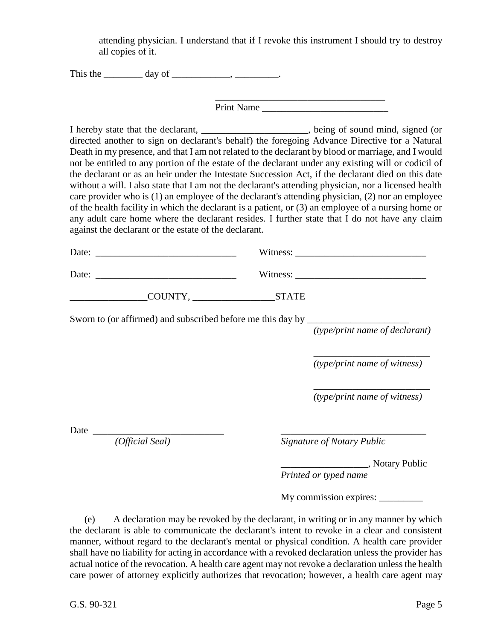attending physician. I understand that if I revoke this instrument I should try to destroy all copies of it.

This the  $\qquad \qquad \text{day of} \qquad \qquad$ 

Print Name

I hereby state that the declarant, \_\_\_\_\_\_\_\_\_\_\_\_\_\_\_\_\_\_\_\_\_\_, being of sound mind, signed (or directed another to sign on declarant's behalf) the foregoing Advance Directive for a Natural Death in my presence, and that I am not related to the declarant by blood or marriage, and I would not be entitled to any portion of the estate of the declarant under any existing will or codicil of the declarant or as an heir under the Intestate Succession Act, if the declarant died on this date without a will. I also state that I am not the declarant's attending physician, nor a licensed health care provider who is (1) an employee of the declarant's attending physician, (2) nor an employee of the health facility in which the declarant is a patient, or (3) an employee of a nursing home or any adult care home where the declarant resides. I further state that I do not have any claim against the declarant or the estate of the declarant.

| Date: |        | Witness:     |  |
|-------|--------|--------------|--|
| Date: |        | Witness:     |  |
|       | COUNTY | <b>STATE</b> |  |

Sworn to (or affirmed) and subscribed before me this day by \_\_\_\_\_\_\_\_\_\_\_\_\_\_\_\_\_\_\_\_\_

*(type/print name of declarant)*

*\_\_\_\_\_\_\_\_\_\_\_\_\_\_\_\_\_\_\_\_\_\_*\_\_ *(type/print name of witness)*

*\_\_\_\_\_\_\_\_\_\_\_\_\_\_\_\_\_\_\_\_\_\_*\_\_ *(type/print name of witness)*

Date \_\_\_\_\_\_\_\_\_\_\_\_\_\_\_\_\_\_\_\_\_\_\_\_\_\_\_ \_\_\_\_\_\_\_\_\_\_\_\_\_\_\_\_\_\_\_\_\_\_\_\_\_\_\_\_\_\_

*(Official Seal) Signature of Notary Public*

\_\_\_\_\_\_\_\_\_\_\_\_\_\_\_\_\_\_, Notary Public

*Printed or typed name*

My commission expires:

(e) A declaration may be revoked by the declarant, in writing or in any manner by which the declarant is able to communicate the declarant's intent to revoke in a clear and consistent manner, without regard to the declarant's mental or physical condition. A health care provider shall have no liability for acting in accordance with a revoked declaration unless the provider has actual notice of the revocation. A health care agent may not revoke a declaration unless the health care power of attorney explicitly authorizes that revocation; however, a health care agent may